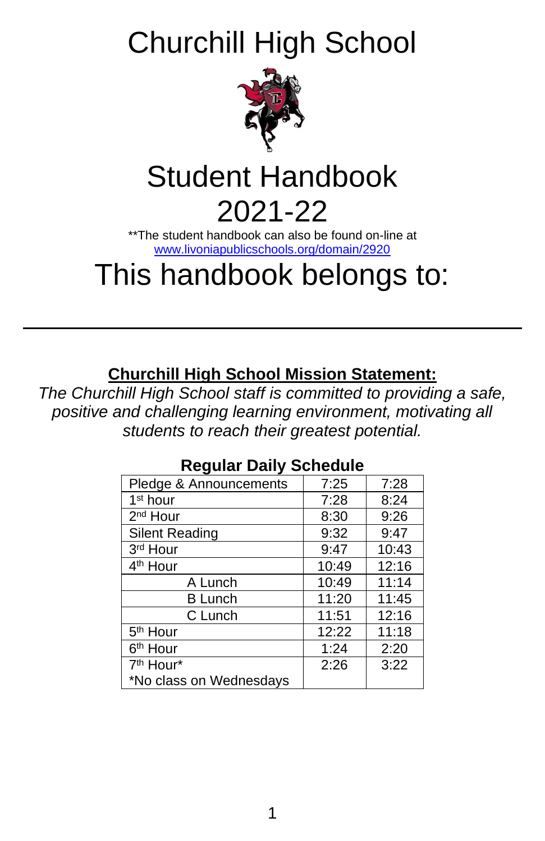Churchill High School



# Student Handbook

## 2021-22

\*\*The student handbook can also be found on-line at [www.livoniapublicschools.org/domain/2920](http://www.livoniapublicschools.org/domain/2920)

## This handbook belongs to:

## **Churchill High School Mission Statement:**

*The Churchill High School staff is committed to providing a safe, positive and challenging learning environment, motivating all students to reach their greatest potential.*

| Pledge & Announcements  | 7:25  | 7:28  |
|-------------------------|-------|-------|
| 1 <sup>st</sup> hour    | 7:28  | 8:24  |
| 2 <sup>nd</sup> Hour    | 8:30  | 9:26  |
| Silent Reading          | 9:32  | 9:47  |
| 3rd Hour                | 9:47  | 10:43 |
| 4 <sup>th</sup> Hour    | 10:49 | 12:16 |
| A Lunch                 | 10:49 | 11:14 |
| <b>B</b> Lunch          | 11:20 | 11:45 |
| C Lunch                 | 11:51 | 12:16 |
| 5 <sup>th</sup> Hour    | 12:22 | 11:18 |
| 6 <sup>th</sup> Hour    | 1:24  | 2:20  |
| 7 <sup>th</sup> Hour*   | 2:26  | 3:22  |
| *No class on Wednesdays |       |       |

## **Regular Daily Schedule**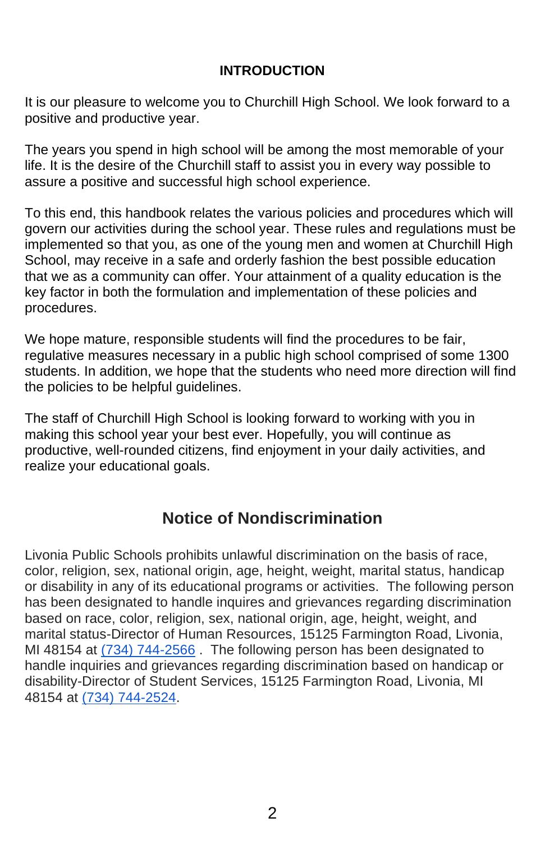#### **INTRODUCTION**

It is our pleasure to welcome you to Churchill High School. We look forward to a positive and productive year.

The years you spend in high school will be among the most memorable of your life. It is the desire of the Churchill staff to assist you in every way possible to assure a positive and successful high school experience.

To this end, this handbook relates the various policies and procedures which will govern our activities during the school year. These rules and regulations must be implemented so that you, as one of the young men and women at Churchill High School, may receive in a safe and orderly fashion the best possible education that we as a community can offer. Your attainment of a quality education is the key factor in both the formulation and implementation of these policies and procedures.

We hope mature, responsible students will find the procedures to be fair, regulative measures necessary in a public high school comprised of some 1300 students. In addition, we hope that the students who need more direction will find the policies to be helpful guidelines.

The staff of Churchill High School is looking forward to working with you in making this school year your best ever. Hopefully, you will continue as productive, well-rounded citizens, find enjoyment in your daily activities, and realize your educational goals.

## **Notice of Nondiscrimination**

Livonia Public Schools prohibits unlawful discrimination on the basis of race, color, religion, sex, national origin, age, height, weight, marital status, handicap or disability in any of its educational programs or activities. The following person has been designated to handle inquires and grievances regarding discrimination based on race, color, religion, sex, national origin, age, height, weight, and marital status-Director of Human Resources, 15125 Farmington Road, Livonia, MI 48154 at [\(734\) 744-2566](tel:%28734%29%20744-2566). The following person has been designated to handle inquiries and grievances regarding discrimination based on handicap or disability-Director of Student Services, 15125 Farmington Road, Livonia, MI 48154 at [\(734\) 744-2524.](tel:%28734%29%20744-2524)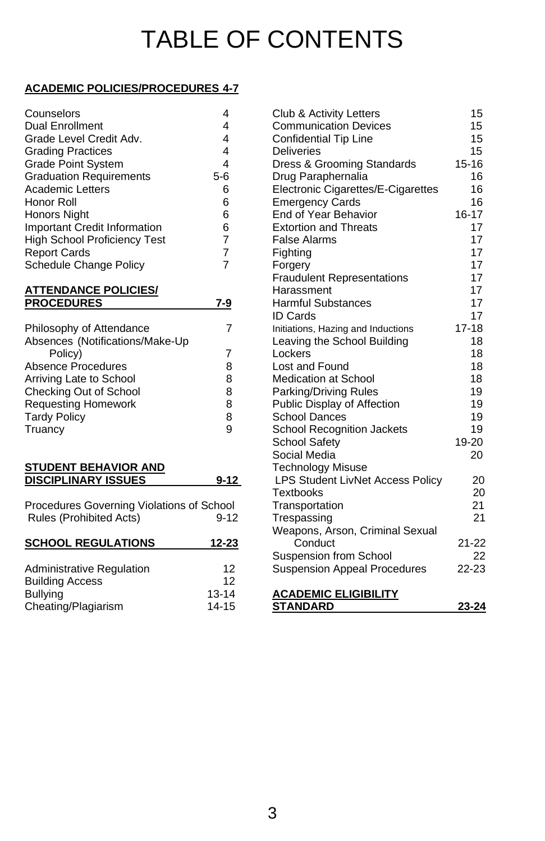## TABLE OF CONTENTS

#### **ACADEMIC POLICIES/PROCEDURES 4-7**

| Counselors                          |       |
|-------------------------------------|-------|
| <b>Dual Enrollment</b>              |       |
| Grade Level Credit Adv.             |       |
| <b>Grading Practices</b>            | 4     |
| <b>Grade Point System</b>           | 4     |
| <b>Graduation Requirements</b>      | $5-6$ |
| <b>Academic Letters</b>             | 6     |
| Honor Roll                          | 6     |
| <b>Honors Night</b>                 | 6     |
| <b>Important Credit Information</b> | 6     |
| <b>High School Proficiency Test</b> | 7     |
| <b>Report Cards</b>                 |       |
| Schedule Change Policy              |       |

| Philosophy of Attendance<br>Absences (Notifications/Make-Up |   |
|-------------------------------------------------------------|---|
| Policy)                                                     |   |
| <b>Absence Procedures</b>                                   | 8 |
| Arriving Late to School                                     | 8 |
| Checking Out of School                                      | 8 |
| <b>Requesting Homework</b>                                  | 8 |
| <b>Tardy Policy</b>                                         | 8 |
| Truancy                                                     |   |

#### **STUDENT BEHAVIOR AND DISCIPLINARY ISSUES** 9-12

| Procedures Governing Violations of School |      |
|-------------------------------------------|------|
| Rules (Prohibited Acts)                   | 9-12 |

| <b>SCHOOL REGULATIONS</b> | 12-23     | Conduct                             | $21 - 22$ |
|---------------------------|-----------|-------------------------------------|-----------|
|                           |           | Suspension from School              | 22        |
| Administrative Regulation | 12        | <b>Suspension Appeal Procedures</b> | $22 - 23$ |
| <b>Building Access</b>    | 12        |                                     |           |
| <b>Bullying</b>           | $13 - 14$ | <b>ACADEMIC ELIGIBILITY</b>         |           |
| Cheating/Plagiarism       | $14 - 15$ | <b>STANDARD</b>                     | 23-24     |

| Counselors                                | 4                 | Club & Activity Letters                 | 15        |
|-------------------------------------------|-------------------|-----------------------------------------|-----------|
| <b>Dual Enrollment</b>                    | 4                 | <b>Communication Devices</b>            | 15        |
| Grade Level Credit Adv.                   | 4                 | Confidential Tip Line                   | 15        |
| <b>Grading Practices</b>                  | 4                 | <b>Deliveries</b>                       | 15        |
| <b>Grade Point System</b>                 | 4                 | Dress & Grooming Standards              | $15 - 16$ |
| <b>Graduation Requirements</b>            | $5-6$             | Drug Paraphernalia                      | 16        |
| Academic Letters                          | 6                 | Electronic Cigarettes/E-Cigarettes      | 16        |
| Honor Roll                                | 6                 | <b>Emergency Cards</b>                  | 16        |
| Honors Night                              | 6                 | End of Year Behavior                    | $16 - 17$ |
| <b>Important Credit Information</b>       | 6                 | <b>Extortion and Threats</b>            | 17        |
| <b>High School Proficiency Test</b>       | 7                 | <b>False Alarms</b>                     | 17        |
| <b>Report Cards</b>                       | 7                 | Fighting                                | 17        |
| Schedule Change Policy                    | $\overline{7}$    | Forgery                                 | 17        |
|                                           |                   | <b>Fraudulent Representations</b>       | 17        |
| <u>ATTENDANCE POLICIES/</u>               |                   | Harassment                              | 17        |
| <b>PROCEDURES</b>                         | 7-9               | <b>Harmful Substances</b>               | 17        |
|                                           |                   | <b>ID Cards</b>                         | 17        |
| Philosophy of Attendance                  | 7                 | Initiations, Hazing and Inductions      | $17 - 18$ |
| Absences (Notifications/Make-Up           |                   | Leaving the School Building             | 18        |
| Policy)                                   | 7                 | Lockers                                 | 18        |
| <b>Absence Procedures</b>                 | 8                 | Lost and Found                          | 18        |
| Arriving Late to School                   | 8                 | <b>Medication at School</b>             | 18        |
| Checking Out of School                    | 8                 | Parking/Driving Rules                   | 19        |
| <b>Requesting Homework</b>                | 8                 | Public Display of Affection             | 19        |
| <b>Tardy Policy</b>                       | 8                 | <b>School Dances</b>                    | 19        |
| Truancy                                   | 9                 | School Recognition Jackets              | 19        |
|                                           |                   | <b>School Safety</b>                    | 19-20     |
|                                           |                   | Social Media                            | 20        |
| <b>STUDENT BEHAVIOR AND</b>               |                   | <b>Technology Misuse</b>                |           |
| <b>DISCIPLINARY ISSUES</b>                | $9 - 12$          | <b>LPS Student LivNet Access Policy</b> | 20        |
|                                           |                   | <b>Textbooks</b>                        | 20        |
| Procedures Governing Violations of School |                   | Transportation                          | 21        |
| Rules (Prohibited Acts)                   | $9 - 12$          | Trespassing                             | 21        |
|                                           |                   | Weapons, Arson, Criminal Sexual         |           |
| <b>SCHOOL REGULATIONS</b>                 | 12-23             | Conduct                                 | $21 - 22$ |
|                                           |                   | Suspension from School                  | 22        |
| Administrative Regulation                 | $12 \overline{ }$ | <b>Suspension Appeal Procedures</b>     | 22-23     |
| <b>Building Access</b>                    | 12                |                                         |           |
| <b>Bullying</b>                           | $13 - 14$         | <b>ACADEMIC ELIGIBILITY</b>             |           |
| Cheating/Plagiarism                       | $14 - 15$         | <b>STANDARD</b>                         | 23-24     |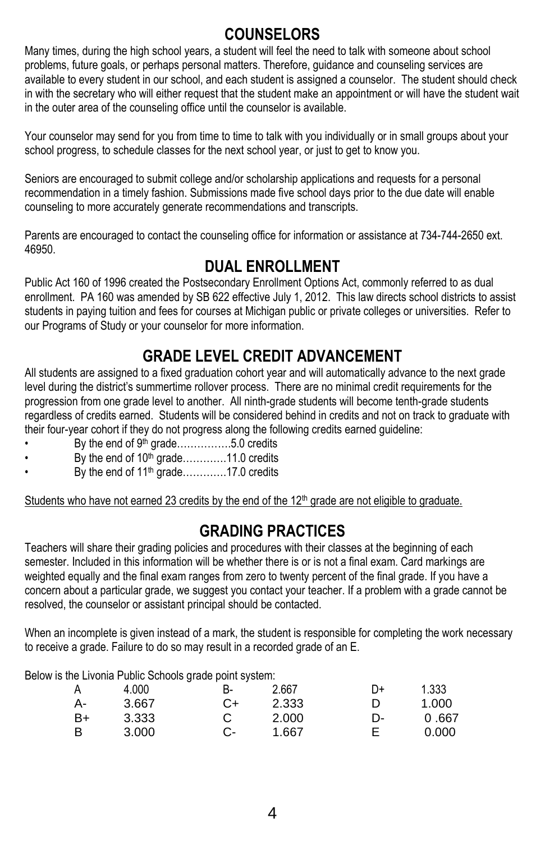## **COUNSELORS**

Many times, during the high school years, a student will feel the need to talk with someone about school problems, future goals, or perhaps personal matters. Therefore, guidance and counseling services are available to every student in our school, and each student is assigned a counselor. The student should check in with the secretary who will either request that the student make an appointment or will have the student wait in the outer area of the counseling office until the counselor is available.

Your counselor may send for you from time to time to talk with you individually or in small groups about your school progress, to schedule classes for the next school year, or just to get to know you.

Seniors are encouraged to submit college and/or scholarship applications and requests for a personal recommendation in a timely fashion. Submissions made five school days prior to the due date will enable counseling to more accurately generate recommendations and transcripts.

Parents are encouraged to contact the counseling office for information or assistance at 734-744-2650 ext. 46950.

### **DUAL ENROLLMENT**

Public Act 160 of 1996 created the Postsecondary Enrollment Options Act, commonly referred to as dual enrollment. PA 160 was amended by SB 622 effective July 1, 2012. This law directs school districts to assist students in paying tuition and fees for courses at Michigan public or private colleges or universities. Refer to our Programs of Study or your counselor for more information.

## **GRADE LEVEL CREDIT ADVANCEMENT**

All students are assigned to a fixed graduation cohort year and will automatically advance to the next grade level during the district's summertime rollover process. There are no minimal credit requirements for the progression from one grade level to another. All ninth-grade students will become tenth-grade students regardless of credits earned. Students will be considered behind in credits and not on track to graduate with their four-year cohort if they do not progress along the following credits earned guideline:

- By the end of 9<sup>th</sup> grade………………5.0 credits
- By the end of  $10<sup>th</sup>$  grade............11.0 credits
- By the end of  $11<sup>th</sup>$  grade............17.0 credits

Students who have not earned 23 credits by the end of the 12<sup>th</sup> grade are not eligible to graduate.

## **GRADING PRACTICES**

Teachers will share their grading policies and procedures with their classes at the beginning of each semester. Included in this information will be whether there is or is not a final exam. Card markings are weighted equally and the final exam ranges from zero to twenty percent of the final grade. If you have a concern about a particular grade, we suggest you contact your teacher. If a problem with a grade cannot be resolved, the counselor or assistant principal should be contacted.

When an incomplete is given instead of a mark, the student is responsible for completing the work necessary to receive a grade. Failure to do so may result in a recorded grade of an E.

Below is the Livonia Public Schools grade point system:

|    |       | . . |       |    |       |
|----|-------|-----|-------|----|-------|
| А  | 4.000 | В-  | 2.667 | D+ | 1.333 |
| А- | 3.667 | C+  | 2.333 |    | 1.000 |
| B+ | 3.333 |     | 2.000 | D- | 0.667 |
| B  | 3.000 |     | 1.667 |    | 0.000 |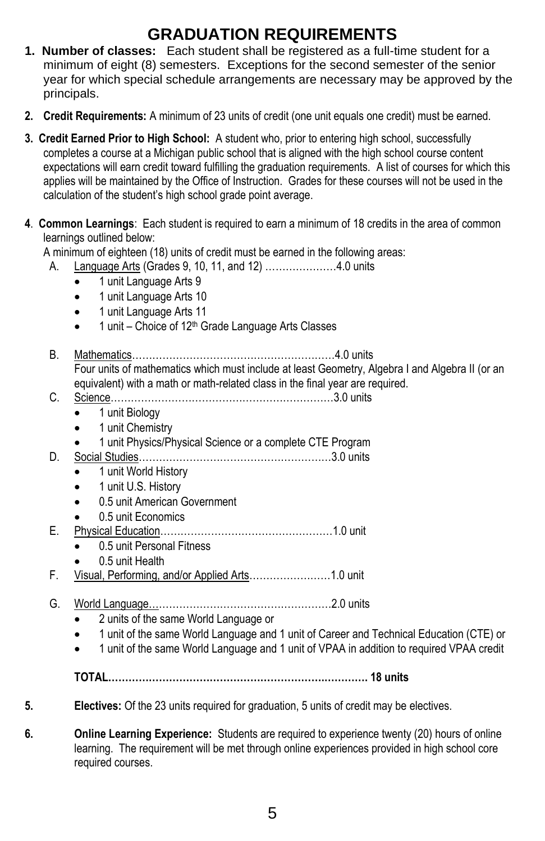## **GRADUATION REQUIREMENTS**

- **1. Number of classes:** Each student shall be registered as a full-time student for a minimum of eight (8) semesters. Exceptions for the second semester of the senior year for which special schedule arrangements are necessary may be approved by the principals.
- **2. Credit Requirements:** A minimum of 23 units of credit (one unit equals one credit) must be earned.
- **3. Credit Earned Prior to High School:** A student who, prior to entering high school, successfully completes a course at a Michigan public school that is aligned with the high school course content expectations will earn credit toward fulfilling the graduation requirements. A list of courses for which this applies will be maintained by the Office of Instruction. Grades for these courses will not be used in the calculation of the student's high school grade point average.
- **4**. **Common Learnings**: Each student is required to earn a minimum of 18 credits in the area of common learnings outlined below:

A minimum of eighteen (18) units of credit must be earned in the following areas:

- A. Language Arts (Grades 9, 10, 11, and 12) …………………4.0 units
	- 1 unit Language Arts 9
	- 1 unit Language Arts 10
	- 1 unit Language Arts 11
	- $\bullet$  1 unit Choice of 12<sup>th</sup> Grade Language Arts Classes
- B. Mathematics……………………………………………………4.0 units Four units of mathematics which must include at least Geometry, Algebra I and Algebra II (or an equivalent) with a math or math-related class in the final year are required.
- C. Science…………………………………………………………3.0 units
	- 1 unit Biology
		- 1 unit Chemistry
		- 1 unit Physics/Physical Science or a complete CTE Program
- D. Social Studies…………………………………………………3.0 units
	- 1 unit World History
	- 1 unit U.S. History
	- 0.5 unit American Government
	- 0.5 unit Economics
- E. Physical Education……………………………………………1.0 unit
	- 0.5 unit Personal Fitness
		- 0.5 unit Health
- F. Visual, Performing, and/or Applied Arts……………………1.0 unit
- G. World Language………………………………………………2.0 units
	- 2 units of the same World Language or
	- 1 unit of the same World Language and 1 unit of Career and Technical Education (CTE) or
	- 1 unit of the same World Language and 1 unit of VPAA in addition to required VPAA credit
	- **TOTAL……………………………………………………….…………. 18 units**
- **5. Electives:** Of the 23 units required for graduation, 5 units of credit may be electives.
- **6. Online Learning Experience:** Students are required to experience twenty (20) hours of online learning. The requirement will be met through online experiences provided in high school core required courses.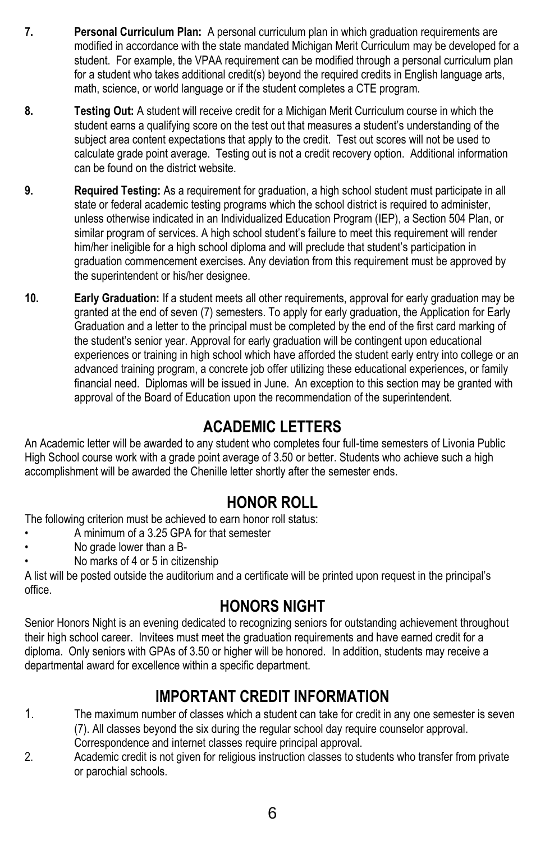- **7. Personal Curriculum Plan:** A personal curriculum plan in which graduation requirements are modified in accordance with the state mandated Michigan Merit Curriculum may be developed for a student. For example, the VPAA requirement can be modified through a personal curriculum plan for a student who takes additional credit(s) beyond the required credits in English language arts, math, science, or world language or if the student completes a CTE program.
- **8. Testing Out:** A student will receive credit for a Michigan Merit Curriculum course in which the student earns a qualifying score on the test out that measures a student's understanding of the subject area content expectations that apply to the credit. Test out scores will not be used to calculate grade point average. Testing out is not a credit recovery option. Additional information can be found on the district website.
- **9. Required Testing:** As a requirement for graduation, a high school student must participate in all state or federal academic testing programs which the school district is required to administer, unless otherwise indicated in an Individualized Education Program (IEP), a Section 504 Plan, or similar program of services. A high school student's failure to meet this requirement will render him/her ineligible for a high school diploma and will preclude that student's participation in graduation commencement exercises. Any deviation from this requirement must be approved by the superintendent or his/her designee.
- **10. Early Graduation:** If a student meets all other requirements, approval for early graduation may be granted at the end of seven (7) semesters. To apply for early graduation, the Application for Early Graduation and a letter to the principal must be completed by the end of the first card marking of the student's senior year. Approval for early graduation will be contingent upon educational experiences or training in high school which have afforded the student early entry into college or an advanced training program, a concrete job offer utilizing these educational experiences, or family financial need. Diplomas will be issued in June. An exception to this section may be granted with approval of the Board of Education upon the recommendation of the superintendent.

## **ACADEMIC LETTERS**

An Academic letter will be awarded to any student who completes four full-time semesters of Livonia Public High School course work with a grade point average of 3.50 or better. Students who achieve such a high accomplishment will be awarded the Chenille letter shortly after the semester ends.

## **HONOR ROLL**

The following criterion must be achieved to earn honor roll status:

- A minimum of a 3.25 GPA for that semester
- No grade lower than a B-
- No marks of 4 or 5 in citizenship

A list will be posted outside the auditorium and a certificate will be printed upon request in the principal's office.

## **HONORS NIGHT**

Senior Honors Night is an evening dedicated to recognizing seniors for outstanding achievement throughout their high school career. Invitees must meet the graduation requirements and have earned credit for a diploma. Only seniors with GPAs of 3.50 or higher will be honored. In addition, students may receive a departmental award for excellence within a specific department.

## **IMPORTANT CREDIT INFORMATION**

- 1. The maximum number of classes which a student can take for credit in any one semester is seven (7). All classes beyond the six during the regular school day require counselor approval. Correspondence and internet classes require principal approval.
- 2. Academic credit is not given for religious instruction classes to students who transfer from private or parochial schools.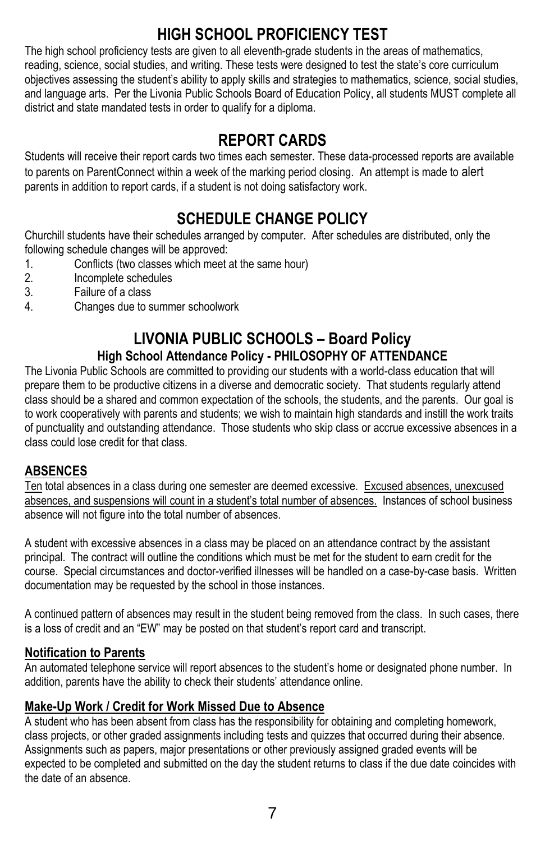## **HIGH SCHOOL PROFICIENCY TEST**

The high school proficiency tests are given to all eleventh-grade students in the areas of mathematics, reading, science, social studies, and writing. These tests were designed to test the state's core curriculum objectives assessing the student's ability to apply skills and strategies to mathematics, science, social studies, and language arts. Per the Livonia Public Schools Board of Education Policy, all students MUST complete all district and state mandated tests in order to qualify for a diploma.

## **REPORT CARDS**

Students will receive their report cards two times each semester. These data-processed reports are available to parents on ParentConnect within a week of the marking period closing. An attempt is made to alert parents in addition to report cards, if a student is not doing satisfactory work.

## **SCHEDULE CHANGE POLICY**

Churchill students have their schedules arranged by computer. After schedules are distributed, only the following schedule changes will be approved:

- 1. Conflicts (two classes which meet at the same hour)
- 2. Incomplete schedules
- 3. Failure of a class
- 4. Changes due to summer schoolwork

### **LIVONIA PUBLIC SCHOOLS – Board Policy High School Attendance Policy - PHILOSOPHY OF ATTENDANCE**

The Livonia Public Schools are committed to providing our students with a world-class education that will prepare them to be productive citizens in a diverse and democratic society. That students regularly attend class should be a shared and common expectation of the schools, the students, and the parents. Our goal is to work cooperatively with parents and students; we wish to maintain high standards and instill the work traits of punctuality and outstanding attendance. Those students who skip class or accrue excessive absences in a class could lose credit for that class.

#### **ABSENCES**

Ten total absences in a class during one semester are deemed excessive. Excused absences, unexcused absences, and suspensions will count in a student's total number of absences. Instances of school business absence will not figure into the total number of absences.

A student with excessive absences in a class may be placed on an attendance contract by the assistant principal. The contract will outline the conditions which must be met for the student to earn credit for the course. Special circumstances and doctor-verified illnesses will be handled on a case-by-case basis. Written documentation may be requested by the school in those instances.

A continued pattern of absences may result in the student being removed from the class. In such cases, there is a loss of credit and an "EW" may be posted on that student's report card and transcript.

#### **Notification to Parents**

An automated telephone service will report absences to the student's home or designated phone number. In addition, parents have the ability to check their students' attendance online.

#### **Make-Up Work / Credit for Work Missed Due to Absence**

A student who has been absent from class has the responsibility for obtaining and completing homework, class projects, or other graded assignments including tests and quizzes that occurred during their absence. Assignments such as papers, major presentations or other previously assigned graded events will be expected to be completed and submitted on the day the student returns to class if the due date coincides with the date of an absence.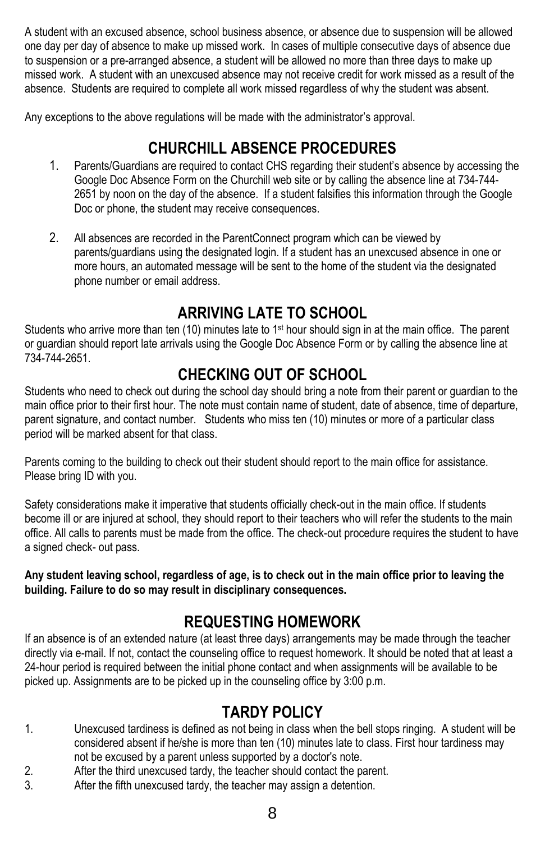A student with an excused absence, school business absence, or absence due to suspension will be allowed one day per day of absence to make up missed work. In cases of multiple consecutive days of absence due to suspension or a pre-arranged absence, a student will be allowed no more than three days to make up missed work. A student with an unexcused absence may not receive credit for work missed as a result of the absence. Students are required to complete all work missed regardless of why the student was absent.

Any exceptions to the above regulations will be made with the administrator's approval.

## **CHURCHILL ABSENCE PROCEDURES**

- 1. Parents/Guardians are required to contact CHS regarding their student's absence by accessing the Google Doc Absence Form on the Churchill web site or by calling the absence line at 734-744- 2651 by noon on the day of the absence. If a student falsifies this information through the Google Doc or phone, the student may receive consequences.
- 2. All absences are recorded in the ParentConnect program which can be viewed by parents/guardians using the designated login. If a student has an unexcused absence in one or more hours, an automated message will be sent to the home of the student via the designated phone number or email address.

## **ARRIVING LATE TO SCHOOL**

Students who arrive more than ten (10) minutes late to 1<sup>st</sup> hour should sign in at the main office. The parent or guardian should report late arrivals using the Google Doc Absence Form or by calling the absence line at 734-744-2651.

## **CHECKING OUT OF SCHOOL**

Students who need to check out during the school day should bring a note from their parent or guardian to the main office prior to their first hour. The note must contain name of student, date of absence, time of departure, parent signature, and contact number. Students who miss ten (10) minutes or more of a particular class period will be marked absent for that class.

Parents coming to the building to check out their student should report to the main office for assistance. Please bring ID with you.

Safety considerations make it imperative that students officially check-out in the main office. If students become ill or are injured at school, they should report to their teachers who will refer the students to the main office. All calls to parents must be made from the office. The check-out procedure requires the student to have a signed check- out pass.

**Any student leaving school, regardless of age, is to check out in the main office prior to leaving the building. Failure to do so may result in disciplinary consequences.**

## **REQUESTING HOMEWORK**

If an absence is of an extended nature (at least three days) arrangements may be made through the teacher directly via e-mail. If not, contact the counseling office to request homework. It should be noted that at least a 24-hour period is required between the initial phone contact and when assignments will be available to be picked up. Assignments are to be picked up in the counseling office by 3:00 p.m.

## **TARDY POLICY**

- 1. Unexcused tardiness is defined as not being in class when the bell stops ringing. A student will be considered absent if he/she is more than ten (10) minutes late to class. First hour tardiness may not be excused by a parent unless supported by a doctor's note.
- 2. After the third unexcused tardy, the teacher should contact the parent.
- 3. After the fifth unexcused tardy, the teacher may assign a detention.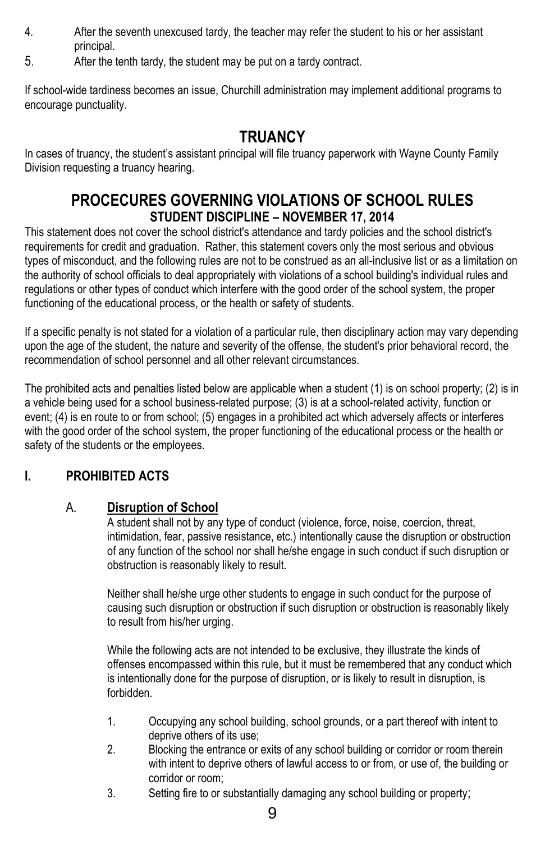- 4. After the seventh unexcused tardy, the teacher may refer the student to his or her assistant principal.
- 5. After the tenth tardy, the student may be put on a tardy contract.

If school-wide tardiness becomes an issue, Churchill administration may implement additional programs to encourage punctuality.

### **TRUANCY**

In cases of truancy, the student's assistant principal will file truancy paperwork with Wayne County Family Division requesting a truancy hearing.

### **PROCECURES GOVERNING VIOLATIONS OF SCHOOL RULES STUDENT DISCIPLINE – NOVEMBER 17, 2014**

This statement does not cover the school district's attendance and tardy policies and the school district's requirements for credit and graduation. Rather, this statement covers only the most serious and obvious types of misconduct, and the following rules are not to be construed as an all-inclusive list or as a limitation on the authority of school officials to deal appropriately with violations of a school building's individual rules and regulations or other types of conduct which interfere with the good order of the school system, the proper functioning of the educational process, or the health or safety of students.

If a specific penalty is not stated for a violation of a particular rule, then disciplinary action may vary depending upon the age of the student, the nature and severity of the offense, the student's prior behavioral record, the recommendation of school personnel and all other relevant circumstances.

The prohibited acts and penalties listed below are applicable when a student (1) is on school property; (2) is in a vehicle being used for a school business-related purpose; (3) is at a school-related activity, function or event; (4) is en route to or from school; (5) engages in a prohibited act which adversely affects or interferes with the good order of the school system, the proper functioning of the educational process or the health or safety of the students or the employees.

#### **I. PROHIBITED ACTS**

#### A. **Disruption of School**

A student shall not by any type of conduct (violence, force, noise, coercion, threat, intimidation, fear, passive resistance, etc.) intentionally cause the disruption or obstruction of any function of the school nor shall he/she engage in such conduct if such disruption or obstruction is reasonably likely to result.

Neither shall he/she urge other students to engage in such conduct for the purpose of causing such disruption or obstruction if such disruption or obstruction is reasonably likely to result from his/her urging.

While the following acts are not intended to be exclusive, they illustrate the kinds of offenses encompassed within this rule, but it must be remembered that any conduct which is intentionally done for the purpose of disruption, or is likely to result in disruption, is forbidden.

- 1. Occupying any school building, school grounds, or a part thereof with intent to deprive others of its use;
- 2. Blocking the entrance or exits of any school building or corridor or room therein with intent to deprive others of lawful access to or from, or use of, the building or corridor or room;
- 3. Setting fire to or substantially damaging any school building or property;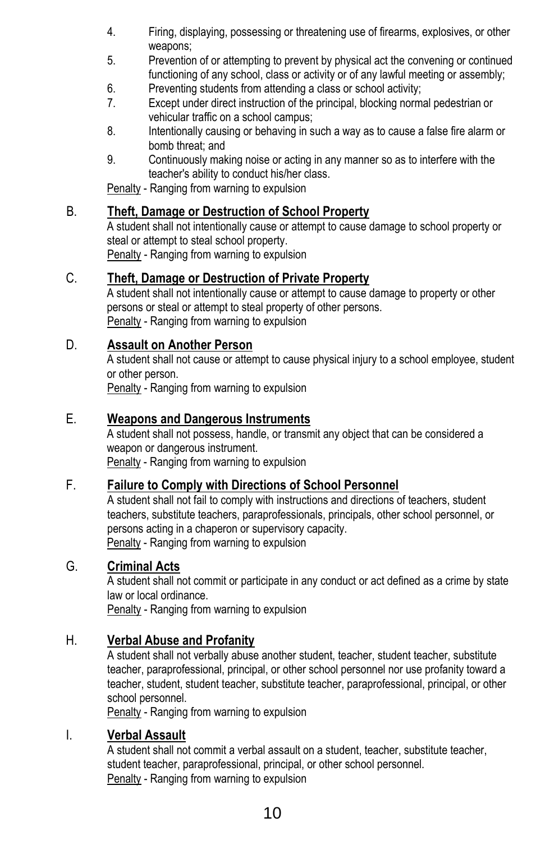- 4. Firing, displaying, possessing or threatening use of firearms, explosives, or other weapons;
- 5. Prevention of or attempting to prevent by physical act the convening or continued functioning of any school, class or activity or of any lawful meeting or assembly;
- 6. Preventing students from attending a class or school activity;
- 7. Except under direct instruction of the principal, blocking normal pedestrian or vehicular traffic on a school campus;
- 8. Intentionally causing or behaving in such a way as to cause a false fire alarm or bomb threat; and
- 9. Continuously making noise or acting in any manner so as to interfere with the teacher's ability to conduct his/her class.

Penalty - Ranging from warning to expulsion

#### B. **Theft, Damage or Destruction of School Property**

A student shall not intentionally cause or attempt to cause damage to school property or steal or attempt to steal school property.

Penalty - Ranging from warning to expulsion

#### C. **Theft, Damage or Destruction of Private Property**

A student shall not intentionally cause or attempt to cause damage to property or other persons or steal or attempt to steal property of other persons. Penalty - Ranging from warning to expulsion

#### D. **Assault on Another Person**

A student shall not cause or attempt to cause physical injury to a school employee, student or other person.

Penalty - Ranging from warning to expulsion

#### E. **Weapons and Dangerous Instruments**

A student shall not possess, handle, or transmit any object that can be considered a weapon or dangerous instrument. Penalty - Ranging from warning to expulsion

#### F. **Failure to Comply with Directions of School Personnel**

A student shall not fail to comply with instructions and directions of teachers, student teachers, substitute teachers, paraprofessionals, principals, other school personnel, or persons acting in a chaperon or supervisory capacity. Penalty - Ranging from warning to expulsion

#### G. **Criminal Acts**

A student shall not commit or participate in any conduct or act defined as a crime by state law or local ordinance.

Penalty - Ranging from warning to expulsion

#### H. **Verbal Abuse and Profanity**

A student shall not verbally abuse another student, teacher, student teacher, substitute teacher, paraprofessional, principal, or other school personnel nor use profanity toward a teacher, student, student teacher, substitute teacher, paraprofessional, principal, or other school personnel.

Penalty - Ranging from warning to expulsion

#### I. **Verbal Assault**

A student shall not commit a verbal assault on a student, teacher, substitute teacher, student teacher, paraprofessional, principal, or other school personnel. Penalty - Ranging from warning to expulsion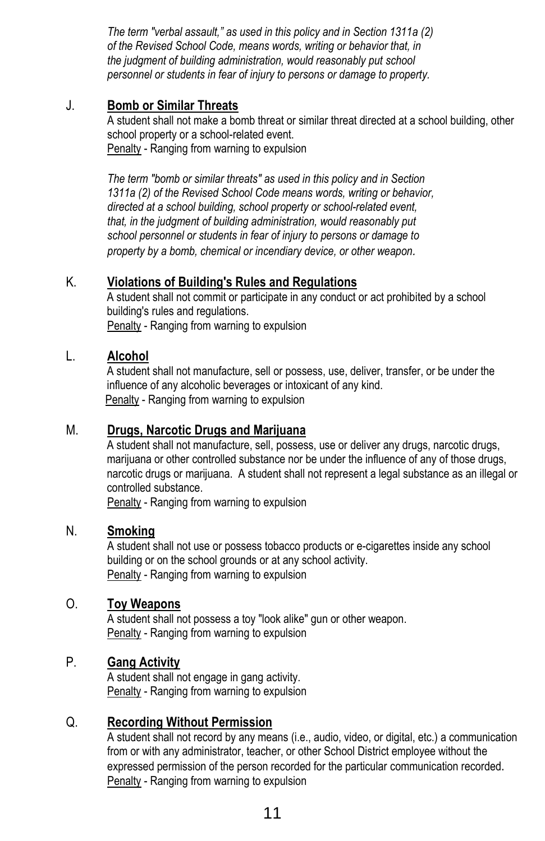*The term "verbal assault," as used in this policy and in Section 1311a (2) of the Revised School Code, means words, writing or behavior that, in the judgment of building administration, would reasonably put school personnel or students in fear of injury to persons or damage to property.*

#### J. **Bomb or Similar Threats**

A student shall not make a bomb threat or similar threat directed at a school building, other school property or a school-related event. Penalty - Ranging from warning to expulsion

*The term "bomb or similar threats" as used in this policy and in Section 1311a (2) of the Revised School Code means words, writing or behavior, directed at a school building, school property or school-related event, that, in the judgment of building administration, would reasonably put school personnel or students in fear of injury to persons or damage to property by a bomb, chemical or incendiary device, or other weapon.*

#### K. **Violations of Building's Rules and Regulations**

A student shall not commit or participate in any conduct or act prohibited by a school building's rules and regulations. Penalty - Ranging from warning to expulsion

#### L. **Alcohol**

A student shall not manufacture, sell or possess, use, deliver, transfer, or be under the influence of any alcoholic beverages or intoxicant of any kind. Penalty - Ranging from warning to expulsion

#### M. **Drugs, Narcotic Drugs and Marijuana**

A student shall not manufacture, sell, possess, use or deliver any drugs, narcotic drugs, marijuana or other controlled substance nor be under the influence of any of those drugs. narcotic drugs or marijuana. A student shall not represent a legal substance as an illegal or controlled substance.

Penalty - Ranging from warning to expulsion

#### N. **Smoking**

A student shall not use or possess tobacco products or e-cigarettes inside any school building or on the school grounds or at any school activity. Penalty - Ranging from warning to expulsion

#### O. **Toy Weapons**

A student shall not possess a toy "look alike" gun or other weapon. Penalty - Ranging from warning to expulsion

#### P. **Gang Activity**

A student shall not engage in gang activity. Penalty - Ranging from warning to expulsion

#### Q. **Recording Without Permission**

A student shall not record by any means (i.e., audio, video, or digital, etc.) a communication from or with any administrator, teacher, or other School District employee without the expressed permission of the person recorded for the particular communication recorded. Penalty - Ranging from warning to expulsion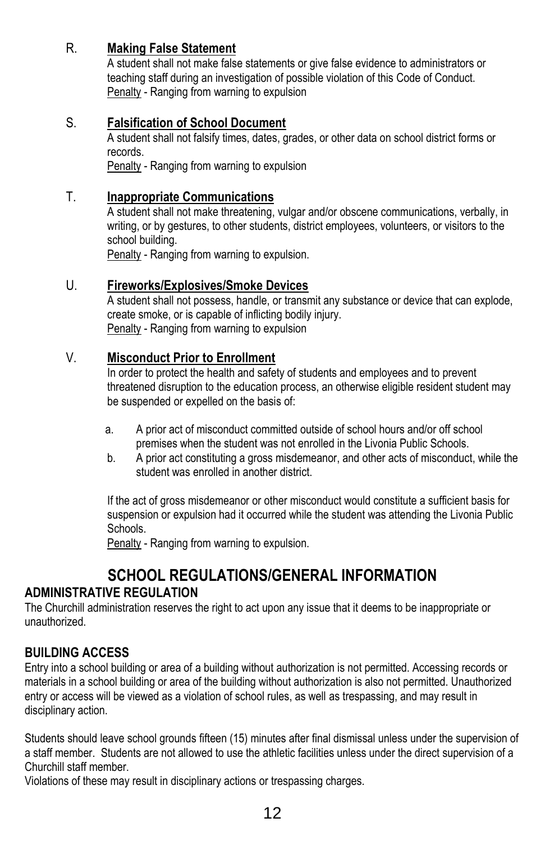#### R. **Making False Statement**

A student shall not make false statements or give false evidence to administrators or teaching staff during an investigation of possible violation of this Code of Conduct. Penalty - Ranging from warning to expulsion

#### S. **Falsification of School Document**

A student shall not falsify times, dates, grades, or other data on school district forms or records.

Penalty - Ranging from warning to expulsion

#### T. **Inappropriate Communications**

A student shall not make threatening, vulgar and/or obscene communications, verbally, in writing, or by gestures, to other students, district employees, volunteers, or visitors to the school building.

Penalty - Ranging from warning to expulsion.

#### U. **Fireworks/Explosives/Smoke Devices**

A student shall not possess, handle, or transmit any substance or device that can explode, create smoke, or is capable of inflicting bodily injury. Penalty - Ranging from warning to expulsion

#### V. **Misconduct Prior to Enrollment**

In order to protect the health and safety of students and employees and to prevent threatened disruption to the education process, an otherwise eligible resident student may be suspended or expelled on the basis of:

- a. A prior act of misconduct committed outside of school hours and/or off school premises when the student was not enrolled in the Livonia Public Schools.
- b. A prior act constituting a gross misdemeanor, and other acts of misconduct, while the student was enrolled in another district.

If the act of gross misdemeanor or other misconduct would constitute a sufficient basis for suspension or expulsion had it occurred while the student was attending the Livonia Public Schools.

Penalty - Ranging from warning to expulsion.

## **SCHOOL REGULATIONS/GENERAL INFORMATION**

#### **ADMINISTRATIVE REGULATION**

The Churchill administration reserves the right to act upon any issue that it deems to be inappropriate or unauthorized.

#### **BUILDING ACCESS**

Entry into a school building or area of a building without authorization is not permitted. Accessing records or materials in a school building or area of the building without authorization is also not permitted. Unauthorized entry or access will be viewed as a violation of school rules, as well as trespassing, and may result in disciplinary action.

Students should leave school grounds fifteen (15) minutes after final dismissal unless under the supervision of a staff member. Students are not allowed to use the athletic facilities unless under the direct supervision of a Churchill staff member.

Violations of these may result in disciplinary actions or trespassing charges.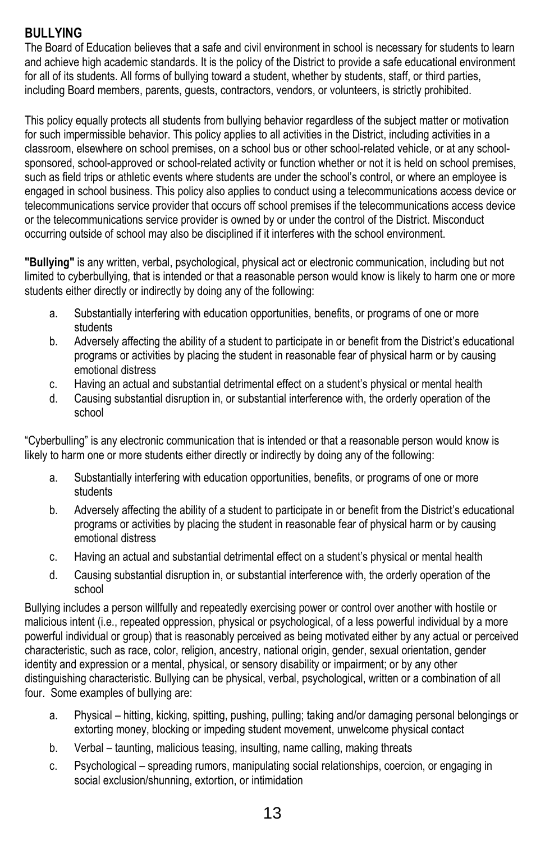#### **BULLYING**

The Board of Education believes that a safe and civil environment in school is necessary for students to learn and achieve high academic standards. It is the policy of the District to provide a safe educational environment for all of its students. All forms of bullying toward a student, whether by students, staff, or third parties, including Board members, parents, guests, contractors, vendors, or volunteers, is strictly prohibited.

This policy equally protects all students from bullying behavior regardless of the subject matter or motivation for such impermissible behavior. This policy applies to all activities in the District, including activities in a classroom, elsewhere on school premises, on a school bus or other school-related vehicle, or at any schoolsponsored, school-approved or school-related activity or function whether or not it is held on school premises, such as field trips or athletic events where students are under the school's control, or where an employee is engaged in school business. This policy also applies to conduct using a telecommunications access device or telecommunications service provider that occurs off school premises if the telecommunications access device or the telecommunications service provider is owned by or under the control of the District. Misconduct occurring outside of school may also be disciplined if it interferes with the school environment.

**"Bullying"** is any written, verbal, psychological, physical act or electronic communication, including but not limited to cyberbullying, that is intended or that a reasonable person would know is likely to harm one or more students either directly or indirectly by doing any of the following:

- a. Substantially interfering with education opportunities, benefits, or programs of one or more students
- b. Adversely affecting the ability of a student to participate in or benefit from the District's educational programs or activities by placing the student in reasonable fear of physical harm or by causing emotional distress
- c. Having an actual and substantial detrimental effect on a student's physical or mental health
- d. Causing substantial disruption in, or substantial interference with, the orderly operation of the school

"Cyberbulling" is any electronic communication that is intended or that a reasonable person would know is likely to harm one or more students either directly or indirectly by doing any of the following:

- a. Substantially interfering with education opportunities, benefits, or programs of one or more students
- b. Adversely affecting the ability of a student to participate in or benefit from the District's educational programs or activities by placing the student in reasonable fear of physical harm or by causing emotional distress
- c. Having an actual and substantial detrimental effect on a student's physical or mental health
- d. Causing substantial disruption in, or substantial interference with, the orderly operation of the school

Bullying includes a person willfully and repeatedly exercising power or control over another with hostile or malicious intent (i.e., repeated oppression, physical or psychological, of a less powerful individual by a more powerful individual or group) that is reasonably perceived as being motivated either by any actual or perceived characteristic, such as race, color, religion, ancestry, national origin, gender, sexual orientation, gender identity and expression or a mental, physical, or sensory disability or impairment; or by any other distinguishing characteristic. Bullying can be physical, verbal, psychological, written or a combination of all four. Some examples of bullying are:

- a. Physical hitting, kicking, spitting, pushing, pulling; taking and/or damaging personal belongings or extorting money, blocking or impeding student movement, unwelcome physical contact
- b. Verbal taunting, malicious teasing, insulting, name calling, making threats
- c. Psychological spreading rumors, manipulating social relationships, coercion, or engaging in social exclusion/shunning, extortion, or intimidation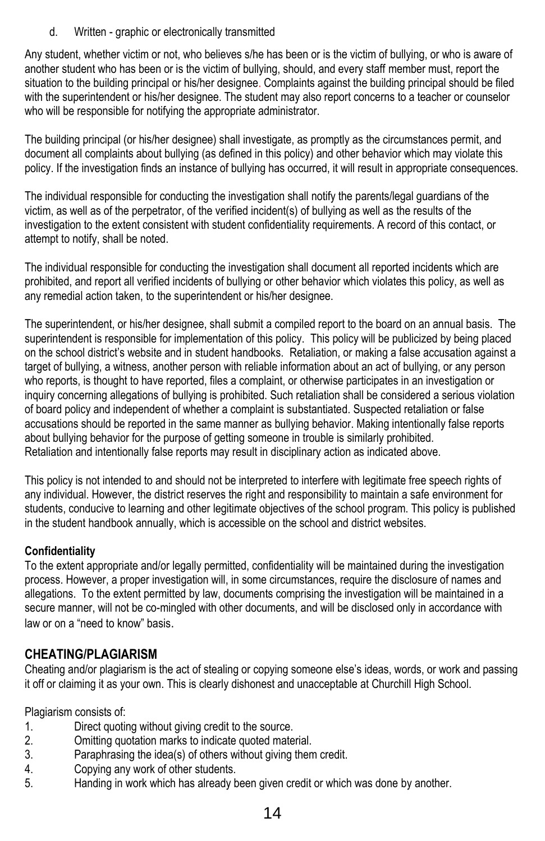d. Written - graphic or electronically transmitted

Any student, whether victim or not, who believes s/he has been or is the victim of bullying, or who is aware of another student who has been or is the victim of bullying, should, and every staff member must, report the situation to the building principal or his/her designee. Complaints against the building principal should be filed with the superintendent or his/her designee. The student may also report concerns to a teacher or counselor who will be responsible for notifying the appropriate administrator.

The building principal (or his/her designee) shall investigate, as promptly as the circumstances permit, and document all complaints about bullying (as defined in this policy) and other behavior which may violate this policy. If the investigation finds an instance of bullying has occurred, it will result in appropriate consequences.

The individual responsible for conducting the investigation shall notify the parents/legal guardians of the victim, as well as of the perpetrator, of the verified incident(s) of bullying as well as the results of the investigation to the extent consistent with student confidentiality requirements. A record of this contact, or attempt to notify, shall be noted.

The individual responsible for conducting the investigation shall document all reported incidents which are prohibited, and report all verified incidents of bullying or other behavior which violates this policy, as well as any remedial action taken, to the superintendent or his/her designee.

The superintendent, or his/her designee, shall submit a compiled report to the board on an annual basis. The superintendent is responsible for implementation of this policy. This policy will be publicized by being placed on the school district's website and in student handbooks. Retaliation, or making a false accusation against a target of bullying, a witness, another person with reliable information about an act of bullying, or any person who reports, is thought to have reported, files a complaint, or otherwise participates in an investigation or inquiry concerning allegations of bullying is prohibited. Such retaliation shall be considered a serious violation of board policy and independent of whether a complaint is substantiated. Suspected retaliation or false accusations should be reported in the same manner as bullying behavior. Making intentionally false reports about bullying behavior for the purpose of getting someone in trouble is similarly prohibited. Retaliation and intentionally false reports may result in disciplinary action as indicated above.

This policy is not intended to and should not be interpreted to interfere with legitimate free speech rights of any individual. However, the district reserves the right and responsibility to maintain a safe environment for students, conducive to learning and other legitimate objectives of the school program. This policy is published in the student handbook annually, which is accessible on the school and district websites.

#### **Confidentiality**

To the extent appropriate and/or legally permitted, confidentiality will be maintained during the investigation process. However, a proper investigation will, in some circumstances, require the disclosure of names and allegations. To the extent permitted by law, documents comprising the investigation will be maintained in a secure manner, will not be co-mingled with other documents, and will be disclosed only in accordance with law or on a "need to know" basis.

#### **CHEATING/PLAGIARISM**

Cheating and/or plagiarism is the act of stealing or copying someone else's ideas, words, or work and passing it off or claiming it as your own. This is clearly dishonest and unacceptable at Churchill High School.

Plagiarism consists of:

- 1. Direct quoting without giving credit to the source.
- 2. Omitting quotation marks to indicate quoted material.
- 3. Paraphrasing the idea(s) of others without giving them credit.
- 4. Copying any work of other students.
- 5. Handing in work which has already been given credit or which was done by another.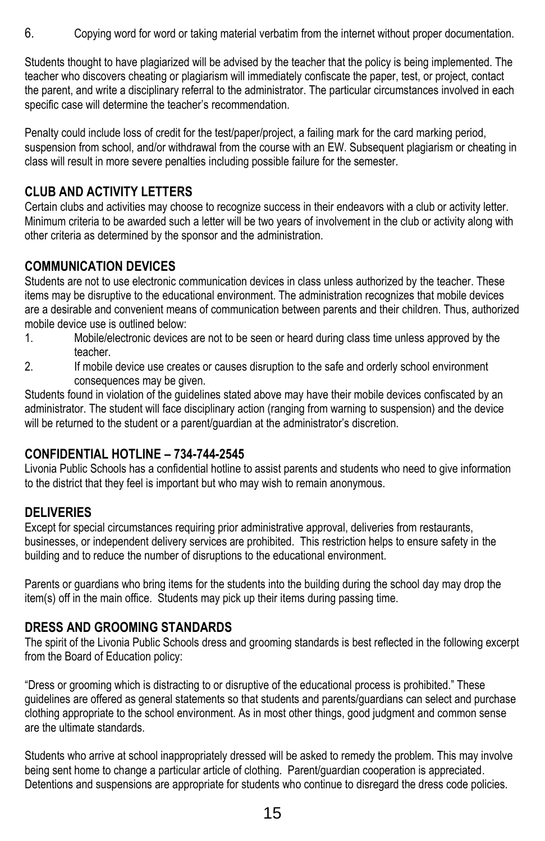6. Copying word for word or taking material verbatim from the internet without proper documentation.

Students thought to have plagiarized will be advised by the teacher that the policy is being implemented. The teacher who discovers cheating or plagiarism will immediately confiscate the paper, test, or project, contact the parent, and write a disciplinary referral to the administrator. The particular circumstances involved in each specific case will determine the teacher's recommendation.

Penalty could include loss of credit for the test/paper/project, a failing mark for the card marking period, suspension from school, and/or withdrawal from the course with an EW. Subsequent plagiarism or cheating in class will result in more severe penalties including possible failure for the semester.

#### **CLUB AND ACTIVITY LETTERS**

Certain clubs and activities may choose to recognize success in their endeavors with a club or activity letter. Minimum criteria to be awarded such a letter will be two years of involvement in the club or activity along with other criteria as determined by the sponsor and the administration.

#### **COMMUNICATION DEVICES**

Students are not to use electronic communication devices in class unless authorized by the teacher. These items may be disruptive to the educational environment. The administration recognizes that mobile devices are a desirable and convenient means of communication between parents and their children. Thus, authorized mobile device use is outlined below:

- 1. Mobile/electronic devices are not to be seen or heard during class time unless approved by the teacher.
- 2. If mobile device use creates or causes disruption to the safe and orderly school environment consequences may be given.

Students found in violation of the guidelines stated above may have their mobile devices confiscated by an administrator. The student will face disciplinary action (ranging from warning to suspension) and the device will be returned to the student or a parent/guardian at the administrator's discretion.

#### **CONFIDENTIAL HOTLINE – 734-744-2545**

Livonia Public Schools has a confidential hotline to assist parents and students who need to give information to the district that they feel is important but who may wish to remain anonymous.

#### **DELIVERIES**

Except for special circumstances requiring prior administrative approval, deliveries from restaurants, businesses, or independent delivery services are prohibited. This restriction helps to ensure safety in the building and to reduce the number of disruptions to the educational environment.

Parents or guardians who bring items for the students into the building during the school day may drop the item(s) off in the main office. Students may pick up their items during passing time.

#### **DRESS AND GROOMING STANDARDS**

The spirit of the Livonia Public Schools dress and grooming standards is best reflected in the following excerpt from the Board of Education policy:

"Dress or grooming which is distracting to or disruptive of the educational process is prohibited." These guidelines are offered as general statements so that students and parents/guardians can select and purchase clothing appropriate to the school environment. As in most other things, good judgment and common sense are the ultimate standards.

Students who arrive at school inappropriately dressed will be asked to remedy the problem. This may involve being sent home to change a particular article of clothing. Parent/guardian cooperation is appreciated. Detentions and suspensions are appropriate for students who continue to disregard the dress code policies.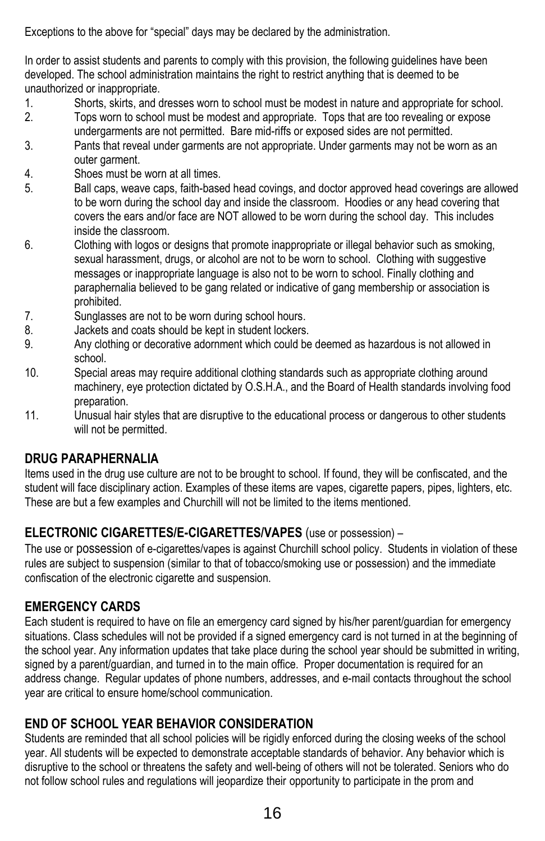Exceptions to the above for "special" days may be declared by the administration.

In order to assist students and parents to comply with this provision, the following guidelines have been developed. The school administration maintains the right to restrict anything that is deemed to be unauthorized or inappropriate.

- 1. Shorts, skirts, and dresses worn to school must be modest in nature and appropriate for school.
- 2. Tops worn to school must be modest and appropriate. Tops that are too revealing or expose undergarments are not permitted. Bare mid-riffs or exposed sides are not permitted.
- 3. Pants that reveal under garments are not appropriate. Under garments may not be worn as an outer garment.
- 4. Shoes must be worn at all times.
- 5. Ball caps, weave caps, faith-based head covings, and doctor approved head coverings are allowed to be worn during the school day and inside the classroom. Hoodies or any head covering that covers the ears and/or face are NOT allowed to be worn during the school day. This includes inside the classroom.
- 6. Clothing with logos or designs that promote inappropriate or illegal behavior such as smoking, sexual harassment, drugs, or alcohol are not to be worn to school. Clothing with suggestive messages or inappropriate language is also not to be worn to school. Finally clothing and paraphernalia believed to be gang related or indicative of gang membership or association is prohibited.
- 7. Sunglasses are not to be worn during school hours.
- 8. Jackets and coats should be kept in student lockers.
- 9. Any clothing or decorative adornment which could be deemed as hazardous is not allowed in school.
- 10. Special areas may require additional clothing standards such as appropriate clothing around machinery, eye protection dictated by O.S.H.A., and the Board of Health standards involving food preparation.
- 11. Unusual hair styles that are disruptive to the educational process or dangerous to other students will not be permitted.

#### **DRUG PARAPHERNALIA**

Items used in the drug use culture are not to be brought to school. If found, they will be confiscated, and the student will face disciplinary action. Examples of these items are vapes, cigarette papers, pipes, lighters, etc. These are but a few examples and Churchill will not be limited to the items mentioned.

#### **ELECTRONIC CIGARETTES/E-CIGARETTES/VAPES** (use or possession) –

The use or possession of e-cigarettes/vapes is against Churchill school policy. Students in violation of these rules are subject to suspension (similar to that of tobacco/smoking use or possession) and the immediate confiscation of the electronic cigarette and suspension.

#### **EMERGENCY CARDS**

Each student is required to have on file an emergency card signed by his/her parent/guardian for emergency situations. Class schedules will not be provided if a signed emergency card is not turned in at the beginning of the school year. Any information updates that take place during the school year should be submitted in writing, signed by a parent/guardian, and turned in to the main office. Proper documentation is required for an address change. Regular updates of phone numbers, addresses, and e-mail contacts throughout the school year are critical to ensure home/school communication.

#### **END OF SCHOOL YEAR BEHAVIOR CONSIDERATION**

Students are reminded that all school policies will be rigidly enforced during the closing weeks of the school year. All students will be expected to demonstrate acceptable standards of behavior. Any behavior which is disruptive to the school or threatens the safety and well-being of others will not be tolerated. Seniors who do not follow school rules and regulations will jeopardize their opportunity to participate in the prom and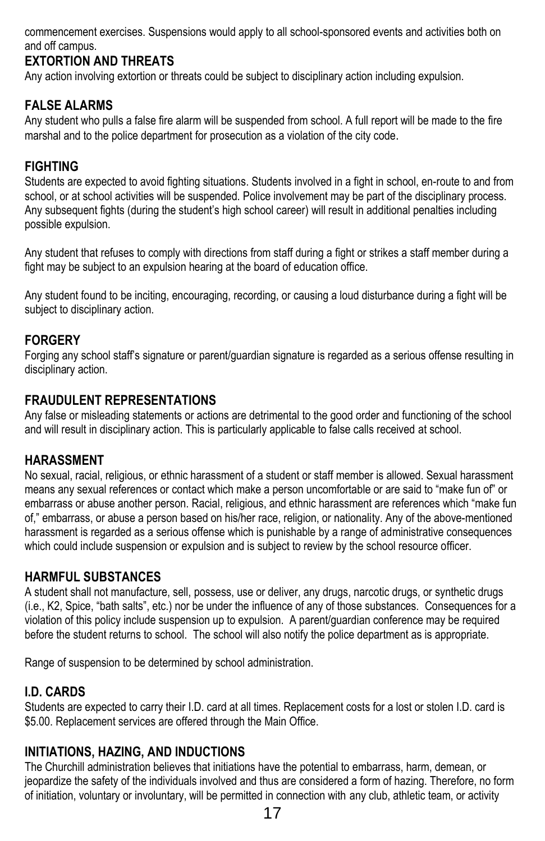commencement exercises. Suspensions would apply to all school-sponsored events and activities both on and off campus.

#### **EXTORTION AND THREATS**

Any action involving extortion or threats could be subject to disciplinary action including expulsion.

#### **FALSE ALARMS**

Any student who pulls a false fire alarm will be suspended from school. A full report will be made to the fire marshal and to the police department for prosecution as a violation of the city code.

#### **FIGHTING**

Students are expected to avoid fighting situations. Students involved in a fight in school, en-route to and from school, or at school activities will be suspended. Police involvement may be part of the disciplinary process. Any subsequent fights (during the student's high school career) will result in additional penalties including possible expulsion.

Any student that refuses to comply with directions from staff during a fight or strikes a staff member during a fight may be subject to an expulsion hearing at the board of education office.

Any student found to be inciting, encouraging, recording, or causing a loud disturbance during a fight will be subject to disciplinary action.

#### **FORGERY**

Forging any school staff's signature or parent/guardian signature is regarded as a serious offense resulting in disciplinary action.

#### **FRAUDULENT REPRESENTATIONS**

Any false or misleading statements or actions are detrimental to the good order and functioning of the school and will result in disciplinary action. This is particularly applicable to false calls received at school.

#### **HARASSMENT**

No sexual, racial, religious, or ethnic harassment of a student or staff member is allowed. Sexual harassment means any sexual references or contact which make a person uncomfortable or are said to "make fun of" or embarrass or abuse another person. Racial, religious, and ethnic harassment are references which "make fun of," embarrass, or abuse a person based on his/her race, religion, or nationality. Any of the above-mentioned harassment is regarded as a serious offense which is punishable by a range of administrative consequences which could include suspension or expulsion and is subject to review by the school resource officer.

#### **HARMFUL SUBSTANCES**

A student shall not manufacture, sell, possess, use or deliver, any drugs, narcotic drugs, or synthetic drugs (i.e., K2, Spice, "bath salts", etc.) nor be under the influence of any of those substances. Consequences for a violation of this policy include suspension up to expulsion. A parent/guardian conference may be required before the student returns to school. The school will also notify the police department as is appropriate.

Range of suspension to be determined by school administration.

#### **I.D. CARDS**

Students are expected to carry their I.D. card at all times. Replacement costs for a lost or stolen I.D. card is \$5.00. Replacement services are offered through the Main Office.

#### **INITIATIONS, HAZING, AND INDUCTIONS**

The Churchill administration believes that initiations have the potential to embarrass, harm, demean, or jeopardize the safety of the individuals involved and thus are considered a form of hazing. Therefore, no form of initiation, voluntary or involuntary, will be permitted in connection with any club, athletic team, or activity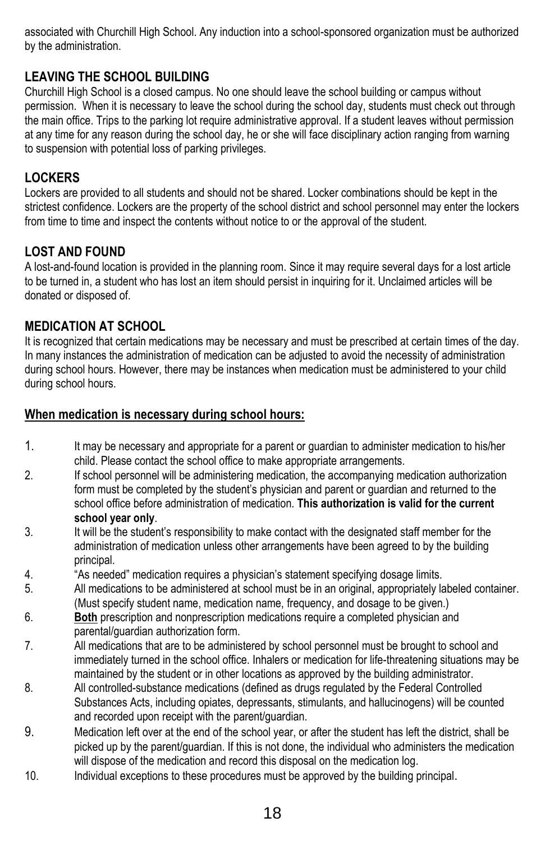associated with Churchill High School. Any induction into a school-sponsored organization must be authorized by the administration.

#### **LEAVING THE SCHOOL BUILDING**

Churchill High School is a closed campus. No one should leave the school building or campus without permission. When it is necessary to leave the school during the school day, students must check out through the main office. Trips to the parking lot require administrative approval. If a student leaves without permission at any time for any reason during the school day, he or she will face disciplinary action ranging from warning to suspension with potential loss of parking privileges.

#### **LOCKERS**

Lockers are provided to all students and should not be shared. Locker combinations should be kept in the strictest confidence. Lockers are the property of the school district and school personnel may enter the lockers from time to time and inspect the contents without notice to or the approval of the student.

#### **LOST AND FOUND**

A lost-and-found location is provided in the planning room. Since it may require several days for a lost article to be turned in, a student who has lost an item should persist in inquiring for it. Unclaimed articles will be donated or disposed of.

#### **MEDICATION AT SCHOOL**

It is recognized that certain medications may be necessary and must be prescribed at certain times of the day. In many instances the administration of medication can be adjusted to avoid the necessity of administration during school hours. However, there may be instances when medication must be administered to your child during school hours.

#### **When medication is necessary during school hours:**

- 1. It may be necessary and appropriate for a parent or guardian to administer medication to his/her child. Please contact the school office to make appropriate arrangements.
- 2. If school personnel will be administering medication, the accompanying medication authorization form must be completed by the student's physician and parent or guardian and returned to the school office before administration of medication. **This authorization is valid for the current school year only**.
- 3. It will be the student's responsibility to make contact with the designated staff member for the administration of medication unless other arrangements have been agreed to by the building principal.
- 4. "As needed" medication requires a physician's statement specifying dosage limits.
- 5. All medications to be administered at school must be in an original, appropriately labeled container. (Must specify student name, medication name, frequency, and dosage to be given.)
- 6. **Both** prescription and nonprescription medications require a completed physician and parental/guardian authorization form.
- 7. All medications that are to be administered by school personnel must be brought to school and immediately turned in the school office. Inhalers or medication for life-threatening situations may be maintained by the student or in other locations as approved by the building administrator.
- 8. All controlled-substance medications (defined as drugs regulated by the Federal Controlled Substances Acts, including opiates, depressants, stimulants, and hallucinogens) will be counted and recorded upon receipt with the parent/guardian.
- 9. Medication left over at the end of the school year, or after the student has left the district, shall be picked up by the parent/guardian. If this is not done, the individual who administers the medication will dispose of the medication and record this disposal on the medication log.
- 10. Individual exceptions to these procedures must be approved by the building principal.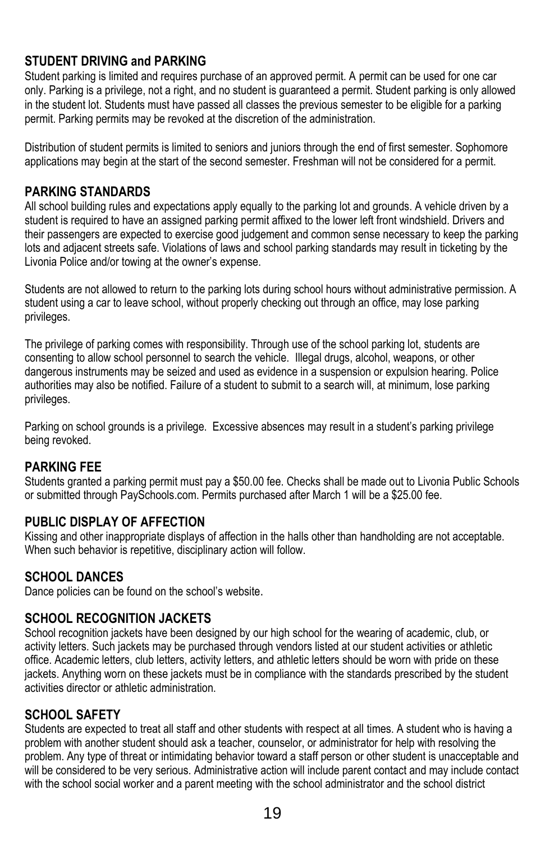#### **STUDENT DRIVING and PARKING**

Student parking is limited and requires purchase of an approved permit. A permit can be used for one car only. Parking is a privilege, not a right, and no student is guaranteed a permit. Student parking is only allowed in the student lot. Students must have passed all classes the previous semester to be eligible for a parking permit. Parking permits may be revoked at the discretion of the administration.

Distribution of student permits is limited to seniors and juniors through the end of first semester. Sophomore applications may begin at the start of the second semester. Freshman will not be considered for a permit.

#### **PARKING STANDARDS**

All school building rules and expectations apply equally to the parking lot and grounds. A vehicle driven by a student is required to have an assigned parking permit affixed to the lower left front windshield. Drivers and their passengers are expected to exercise good judgement and common sense necessary to keep the parking lots and adjacent streets safe. Violations of laws and school parking standards may result in ticketing by the Livonia Police and/or towing at the owner's expense.

Students are not allowed to return to the parking lots during school hours without administrative permission. A student using a car to leave school, without properly checking out through an office, may lose parking privileges.

The privilege of parking comes with responsibility. Through use of the school parking lot, students are consenting to allow school personnel to search the vehicle. Illegal drugs, alcohol, weapons, or other dangerous instruments may be seized and used as evidence in a suspension or expulsion hearing. Police authorities may also be notified. Failure of a student to submit to a search will, at minimum, lose parking privileges.

Parking on school grounds is a privilege. Excessive absences may result in a student's parking privilege being revoked.

#### **PARKING FEE**

Students granted a parking permit must pay a \$50.00 fee. Checks shall be made out to Livonia Public Schools or submitted through PaySchools.com. Permits purchased after March 1 will be a \$25.00 fee.

#### **PUBLIC DISPLAY OF AFFECTION**

Kissing and other inappropriate displays of affection in the halls other than handholding are not acceptable. When such behavior is repetitive, disciplinary action will follow.

#### **SCHOOL DANCES**

Dance policies can be found on the school's website.

#### **SCHOOL RECOGNITION JACKETS**

School recognition jackets have been designed by our high school for the wearing of academic, club, or activity letters. Such jackets may be purchased through vendors listed at our student activities or athletic office. Academic letters, club letters, activity letters, and athletic letters should be worn with pride on these jackets. Anything worn on these jackets must be in compliance with the standards prescribed by the student activities director or athletic administration.

#### **SCHOOL SAFETY**

Students are expected to treat all staff and other students with respect at all times. A student who is having a problem with another student should ask a teacher, counselor, or administrator for help with resolving the problem. Any type of threat or intimidating behavior toward a staff person or other student is unacceptable and will be considered to be very serious. Administrative action will include parent contact and may include contact with the school social worker and a parent meeting with the school administrator and the school district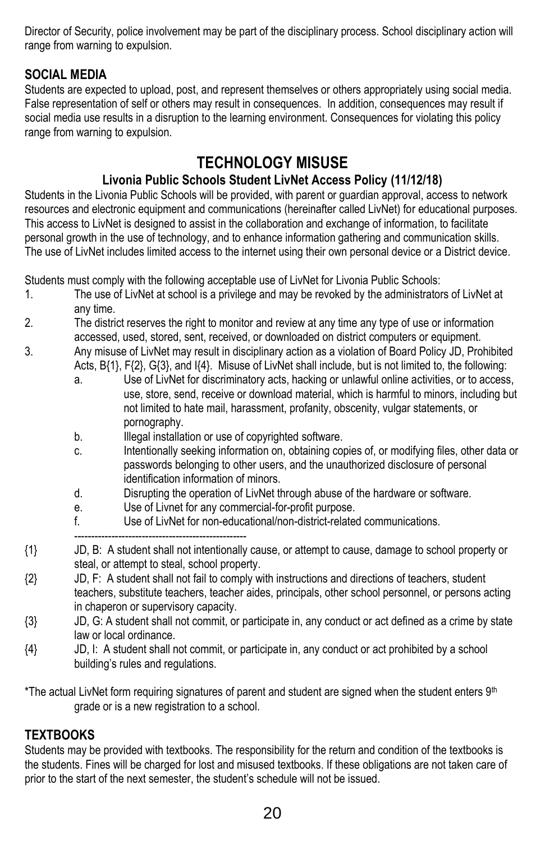Director of Security, police involvement may be part of the disciplinary process. School disciplinary action will range from warning to expulsion.

#### **SOCIAL MEDIA**

Students are expected to upload, post, and represent themselves or others appropriately using social media. False representation of self or others may result in consequences. In addition, consequences may result if social media use results in a disruption to the learning environment. Consequences for violating this policy range from warning to expulsion.

## **TECHNOLOGY MISUSE**

#### **Livonia Public Schools Student LivNet Access Policy (11/12/18)**

Students in the Livonia Public Schools will be provided, with parent or guardian approval, access to network resources and electronic equipment and communications (hereinafter called LivNet) for educational purposes. This access to LivNet is designed to assist in the collaboration and exchange of information, to facilitate personal growth in the use of technology, and to enhance information gathering and communication skills. The use of LivNet includes limited access to the internet using their own personal device or a District device.

Students must comply with the following acceptable use of LivNet for Livonia Public Schools:

- 1. The use of LivNet at school is a privilege and may be revoked by the administrators of LivNet at any time.
- 2. The district reserves the right to monitor and review at any time any type of use or information accessed, used, stored, sent, received, or downloaded on district computers or equipment.
- 3. Any misuse of LivNet may result in disciplinary action as a violation of Board Policy JD, Prohibited Acts, B{1}, F{2}, G{3}, and I{4}. Misuse of LivNet shall include, but is not limited to, the following:
	- a. Use of LivNet for discriminatory acts, hacking or unlawful online activities, or to access, use, store, send, receive or download material, which is harmful to minors, including but not limited to hate mail, harassment, profanity, obscenity, vulgar statements, or pornography.
	- b. **Illegal installation or use of copyrighted software.**
	- c. Intentionally seeking information on, obtaining copies of, or modifying files, other data or passwords belonging to other users, and the unauthorized disclosure of personal identification information of minors.
	- d. Disrupting the operation of LivNet through abuse of the hardware or software.
	- e. Use of Livnet for any commercial-for-profit purpose.
	- f. Use of LivNet for non-educational/non-district-related communications.
	- ---------------------------------------------------
- {1} JD, B: A student shall not intentionally cause, or attempt to cause, damage to school property or steal, or attempt to steal, school property.
- {2} JD, F: A student shall not fail to comply with instructions and directions of teachers, student teachers, substitute teachers, teacher aides, principals, other school personnel, or persons acting in chaperon or supervisory capacity.
- {3} JD, G: A student shall not commit, or participate in, any conduct or act defined as a crime by state law or local ordinance.
- {4} JD, I: A student shall not commit, or participate in, any conduct or act prohibited by a school building's rules and regulations.

\*The actual LivNet form requiring signatures of parent and student are signed when the student enters 9<sup>th</sup> grade or is a new registration to a school.

#### **TEXTBOOKS**

Students may be provided with textbooks. The responsibility for the return and condition of the textbooks is the students. Fines will be charged for lost and misused textbooks. If these obligations are not taken care of prior to the start of the next semester, the student's schedule will not be issued.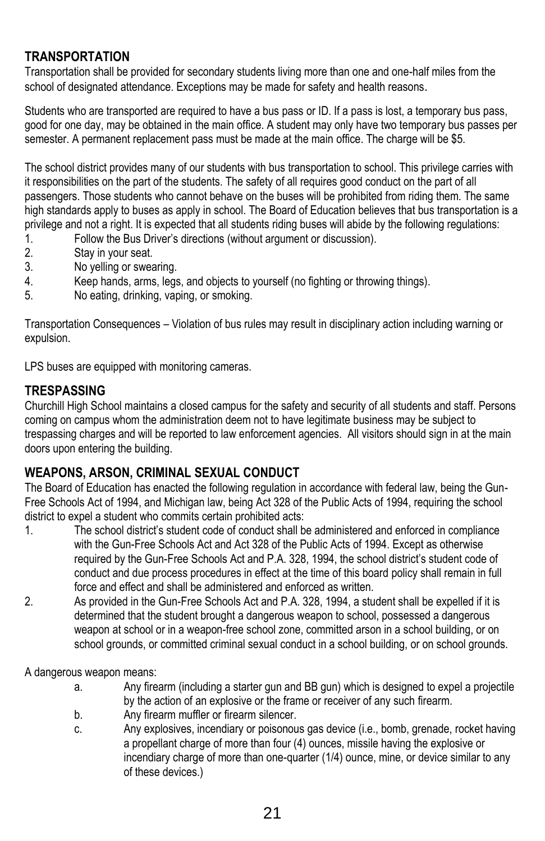#### **TRANSPORTATION**

Transportation shall be provided for secondary students living more than one and one-half miles from the school of designated attendance. Exceptions may be made for safety and health reasons.

Students who are transported are required to have a bus pass or ID. If a pass is lost, a temporary bus pass, good for one day, may be obtained in the main office. A student may only have two temporary bus passes per semester. A permanent replacement pass must be made at the main office. The charge will be \$5.

The school district provides many of our students with bus transportation to school. This privilege carries with it responsibilities on the part of the students. The safety of all requires good conduct on the part of all passengers. Those students who cannot behave on the buses will be prohibited from riding them. The same high standards apply to buses as apply in school. The Board of Education believes that bus transportation is a privilege and not a right. It is expected that all students riding buses will abide by the following regulations:

- 1. Follow the Bus Driver's directions (without argument or discussion).<br>2 Stay in your seat
- Stay in your seat.
- 3. No yelling or swearing.
- 4. Keep hands, arms, legs, and objects to yourself (no fighting or throwing things).
- 5. No eating, drinking, vaping, or smoking.

Transportation Consequences – Violation of bus rules may result in disciplinary action including warning or expulsion.

LPS buses are equipped with monitoring cameras.

#### **TRESPASSING**

Churchill High School maintains a closed campus for the safety and security of all students and staff. Persons coming on campus whom the administration deem not to have legitimate business may be subject to trespassing charges and will be reported to law enforcement agencies. All visitors should sign in at the main doors upon entering the building.

#### **WEAPONS, ARSON, CRIMINAL SEXUAL CONDUCT**

The Board of Education has enacted the following regulation in accordance with federal law, being the Gun-Free Schools Act of 1994, and Michigan law, being Act 328 of the Public Acts of 1994, requiring the school district to expel a student who commits certain prohibited acts:

- 1. The school district's student code of conduct shall be administered and enforced in compliance with the Gun-Free Schools Act and Act 328 of the Public Acts of 1994. Except as otherwise required by the Gun-Free Schools Act and P.A. 328, 1994, the school district's student code of conduct and due process procedures in effect at the time of this board policy shall remain in full force and effect and shall be administered and enforced as written.
- 2. As provided in the Gun-Free Schools Act and P.A. 328, 1994, a student shall be expelled if it is determined that the student brought a dangerous weapon to school, possessed a dangerous weapon at school or in a weapon-free school zone, committed arson in a school building, or on school grounds, or committed criminal sexual conduct in a school building, or on school grounds.

A dangerous weapon means:

- a. Any firearm (including a starter gun and BB gun) which is designed to expel a projectile by the action of an explosive or the frame or receiver of any such firearm.
- b. Any firearm muffler or firearm silencer.
- c. Any explosives, incendiary or poisonous gas device (i.e., bomb, grenade, rocket having a propellant charge of more than four (4) ounces, missile having the explosive or incendiary charge of more than one-quarter (1/4) ounce, mine, or device similar to any of these devices.)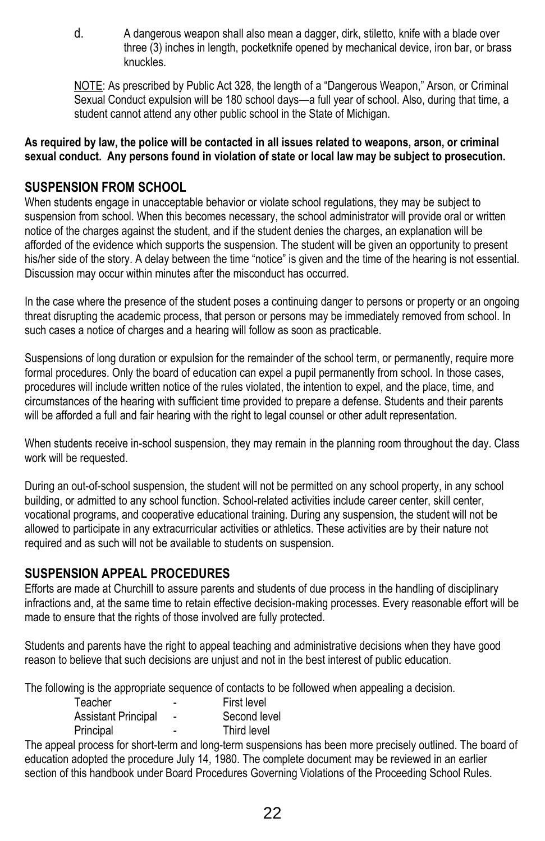d. A dangerous weapon shall also mean a dagger, dirk, stiletto, knife with a blade over three (3) inches in length, pocketknife opened by mechanical device, iron bar, or brass knuckles.

NOTE: As prescribed by Public Act 328, the length of a "Dangerous Weapon," Arson, or Criminal Sexual Conduct expulsion will be 180 school days—a full year of school. Also, during that time, a student cannot attend any other public school in the State of Michigan.

**As required by law, the police will be contacted in all issues related to weapons, arson, or criminal sexual conduct. Any persons found in violation of state or local law may be subject to prosecution.** 

#### **SUSPENSION FROM SCHOOL**

When students engage in unacceptable behavior or violate school regulations, they may be subject to suspension from school. When this becomes necessary, the school administrator will provide oral or written notice of the charges against the student, and if the student denies the charges, an explanation will be afforded of the evidence which supports the suspension. The student will be given an opportunity to present his/her side of the story. A delay between the time "notice" is given and the time of the hearing is not essential. Discussion may occur within minutes after the misconduct has occurred.

In the case where the presence of the student poses a continuing danger to persons or property or an ongoing threat disrupting the academic process, that person or persons may be immediately removed from school. In such cases a notice of charges and a hearing will follow as soon as practicable.

Suspensions of long duration or expulsion for the remainder of the school term, or permanently, require more formal procedures. Only the board of education can expel a pupil permanently from school. In those cases, procedures will include written notice of the rules violated, the intention to expel, and the place, time, and circumstances of the hearing with sufficient time provided to prepare a defense. Students and their parents will be afforded a full and fair hearing with the right to legal counsel or other adult representation.

When students receive in-school suspension, they may remain in the planning room throughout the day. Class work will be requested.

During an out-of-school suspension, the student will not be permitted on any school property, in any school building, or admitted to any school function. School-related activities include career center, skill center, vocational programs, and cooperative educational training. During any suspension, the student will not be allowed to participate in any extracurricular activities or athletics. These activities are by their nature not required and as such will not be available to students on suspension.

#### **SUSPENSION APPEAL PROCEDURES**

Efforts are made at Churchill to assure parents and students of due process in the handling of disciplinary infractions and, at the same time to retain effective decision-making processes. Every reasonable effort will be made to ensure that the rights of those involved are fully protected.

Students and parents have the right to appeal teaching and administrative decisions when they have good reason to believe that such decisions are unjust and not in the best interest of public education.

The following is the appropriate sequence of contacts to be followed when appealing a decision.

| Teacher                    |                | First level  |
|----------------------------|----------------|--------------|
| <b>Assistant Principal</b> | $\blacksquare$ | Second level |
| Principal                  | -              | Third level  |

The appeal process for short-term and long-term suspensions has been more precisely outlined. The board of education adopted the procedure July 14, 1980. The complete document may be reviewed in an earlier section of this handbook under Board Procedures Governing Violations of the Proceeding School Rules.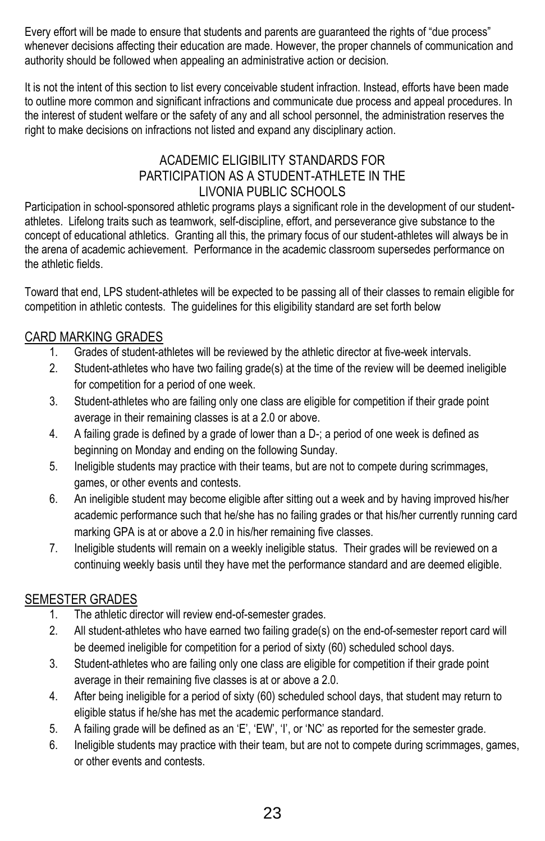Every effort will be made to ensure that students and parents are guaranteed the rights of "due process" whenever decisions affecting their education are made. However, the proper channels of communication and authority should be followed when appealing an administrative action or decision.

It is not the intent of this section to list every conceivable student infraction. Instead, efforts have been made to outline more common and significant infractions and communicate due process and appeal procedures. In the interest of student welfare or the safety of any and all school personnel, the administration reserves the right to make decisions on infractions not listed and expand any disciplinary action.

#### ACADEMIC ELIGIBILITY STANDARDS FOR PARTICIPATION AS A STUDENT-ATHLETE IN THE LIVONIA PUBLIC SCHOOLS

Participation in school-sponsored athletic programs plays a significant role in the development of our studentathletes. Lifelong traits such as teamwork, self-discipline, effort, and perseverance give substance to the concept of educational athletics. Granting all this, the primary focus of our student-athletes will always be in the arena of academic achievement. Performance in the academic classroom supersedes performance on the athletic fields.

Toward that end, LPS student-athletes will be expected to be passing all of their classes to remain eligible for competition in athletic contests. The guidelines for this eligibility standard are set forth below

#### CARD MARKING GRADES

- 1. Grades of student-athletes will be reviewed by the athletic director at five-week intervals.
- 2. Student-athletes who have two failing grade(s) at the time of the review will be deemed ineligible for competition for a period of one week.
- 3. Student-athletes who are failing only one class are eligible for competition if their grade point average in their remaining classes is at a 2.0 or above.
- 4. A failing grade is defined by a grade of lower than a D-; a period of one week is defined as beginning on Monday and ending on the following Sunday.
- 5. Ineligible students may practice with their teams, but are not to compete during scrimmages, games, or other events and contests.
- 6. An ineligible student may become eligible after sitting out a week and by having improved his/her academic performance such that he/she has no failing grades or that his/her currently running card marking GPA is at or above a 2.0 in his/her remaining five classes.
- 7. Ineligible students will remain on a weekly ineligible status. Their grades will be reviewed on a continuing weekly basis until they have met the performance standard and are deemed eligible.

#### SEMESTER GRADES

- 1. The athletic director will review end-of-semester grades.
- 2. All student-athletes who have earned two failing grade(s) on the end-of-semester report card will be deemed ineligible for competition for a period of sixty (60) scheduled school days.
- 3. Student-athletes who are failing only one class are eligible for competition if their grade point average in their remaining five classes is at or above a 2.0.
- 4. After being ineligible for a period of sixty (60) scheduled school days, that student may return to eligible status if he/she has met the academic performance standard.
- 5. A failing grade will be defined as an 'E', 'EW', 'I', or 'NC' as reported for the semester grade.
- 6. Ineligible students may practice with their team, but are not to compete during scrimmages, games, or other events and contests.